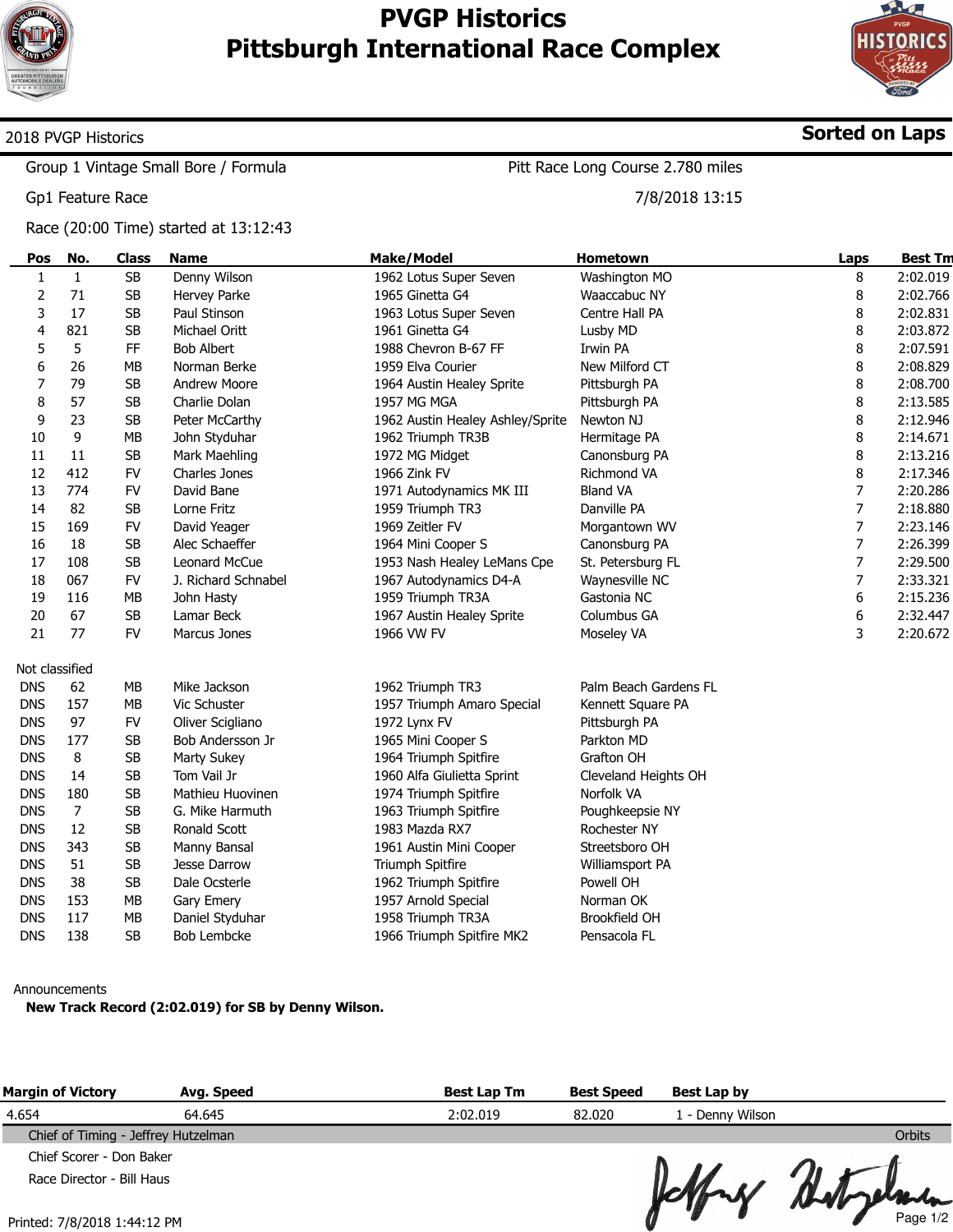

# **PVGP Historics Pittsburgh International Race Complex**



**Sorted on Laps**

## 2018 PVGP Historics

Group 1 Vintage Small Bore / Formula

Gp1 Feature Race

Race (20:00 Time) started at 13:12:43

# Pitt Race Long Course 2.780 miles

7/8/2018 13:15

| Pos            | No.            | <b>Class</b> | <b>Name</b>         | <b>Make/Model</b>                | <b>Hometown</b>       | Laps           | <b>Best Tm</b> |
|----------------|----------------|--------------|---------------------|----------------------------------|-----------------------|----------------|----------------|
| 1              | $\mathbf{1}$   | SB           | Denny Wilson        | 1962 Lotus Super Seven           | Washington MO         | 8              | 2:02.019       |
| 2              | 71             | SB           | Hervey Parke        | 1965 Ginetta G4                  | Waaccabuc NY          | 8              | 2:02.766       |
| 3              | 17             | SB           | Paul Stinson        | 1963 Lotus Super Seven           | Centre Hall PA        | 8              | 2:02.831       |
| 4              | 821            | SB           | Michael Oritt       | 1961 Ginetta G4                  | Lusby MD              | 8              | 2:03.872       |
| 5              | 5              | FF           | <b>Bob Albert</b>   | 1988 Chevron B-67 FF             | Irwin PA              | 8              | 2:07.591       |
| 6              | 26             | МB           | Norman Berke        | 1959 Elva Courier                | New Milford CT        | 8              | 2:08.829       |
| 7              | 79             | SB           | <b>Andrew Moore</b> | 1964 Austin Healey Sprite        | Pittsburgh PA         | 8              | 2:08.700       |
| 8              | 57             | <b>SB</b>    | Charlie Dolan       | 1957 MG MGA                      | Pittsburgh PA         | 8              | 2:13.585       |
| 9              | 23             | SB           | Peter McCarthy      | 1962 Austin Healey Ashley/Sprite | Newton NJ             | 8              | 2:12.946       |
| 10             | 9              | MB           | John Styduhar       | 1962 Triumph TR3B                | Hermitage PA          | 8              | 2:14.671       |
| 11             | 11             | ${\sf SB}$   | Mark Maehling       | 1972 MG Midget                   | Canonsburg PA         | 8              | 2:13.216       |
| 12             | 412            | <b>FV</b>    | Charles Jones       | 1966 Zink FV                     | <b>Richmond VA</b>    | 8              | 2:17.346       |
| 13             | 774            | <b>FV</b>    | David Bane          | 1971 Autodynamics MK III         | <b>Bland VA</b>       | $\overline{7}$ | 2:20.286       |
| 14             | 82             | SB           | Lorne Fritz         | 1959 Triumph TR3                 | Danville PA           | 7              | 2:18.880       |
| 15             | 169            | <b>FV</b>    | David Yeager        | 1969 Zeitler FV                  | Morgantown WV         | 7              | 2:23.146       |
| 16             | 18             | ${\sf SB}$   | Alec Schaeffer      | 1964 Mini Cooper S               | Canonsburg PA         | 7              | 2:26.399       |
| 17             | 108            | SB           | Leonard McCue       | 1953 Nash Healey LeMans Cpe      | St. Petersburg FL     | 7              | 2:29.500       |
| 18             | 067            | <b>FV</b>    | J. Richard Schnabel | 1967 Autodynamics D4-A           | Waynesville NC        | 7              | 2:33.321       |
| 19             | 116            | МB           | John Hasty          | 1959 Triumph TR3A                | Gastonia NC           | 6              | 2:15.236       |
| 20             | 67             | SB           | Lamar Beck          | 1967 Austin Healey Sprite        | Columbus GA           | 6              | 2:32.447       |
| 21             | 77             | <b>FV</b>    | Marcus Jones        | 1966 VW FV                       | Moseley VA            | 3              | 2:20.672       |
| Not classified |                |              |                     |                                  |                       |                |                |
| <b>DNS</b>     | 62             | МB           | Mike Jackson        | 1962 Triumph TR3                 | Palm Beach Gardens FL |                |                |
| <b>DNS</b>     | 157            | МB           | Vic Schuster        | 1957 Triumph Amaro Special       | Kennett Square PA     |                |                |
| <b>DNS</b>     | 97             | <b>FV</b>    | Oliver Scigliano    | 1972 Lynx FV                     | Pittsburgh PA         |                |                |
| <b>DNS</b>     | 177            | SB           | Bob Andersson Jr    | 1965 Mini Cooper S               | Parkton MD            |                |                |
| <b>DNS</b>     | 8              | SB           | Marty Sukey         | 1964 Triumph Spitfire            | Grafton OH            |                |                |
| <b>DNS</b>     | 14             | SB           | Tom Vail Jr         | 1960 Alfa Giulietta Sprint       | Cleveland Heights OH  |                |                |
| <b>DNS</b>     | 180            | SB           | Mathieu Huovinen    | 1974 Triumph Spitfire            | Norfolk VA            |                |                |
| <b>DNS</b>     | $\overline{7}$ | SB           | G. Mike Harmuth     | 1963 Triumph Spitfire            | Poughkeepsie NY       |                |                |
| <b>DNS</b>     | 12             | <b>SB</b>    | Ronald Scott        | 1983 Mazda RX7                   | Rochester NY          |                |                |
| <b>DNS</b>     | 343            | SB           | Manny Bansal        | 1961 Austin Mini Cooper          | Streetsboro OH        |                |                |
| <b>DNS</b>     | 51             | SB           | Jesse Darrow        | Triumph Spitfire                 | Williamsport PA       |                |                |
| <b>DNS</b>     | 38             | SB           | Dale Ocsterle       | 1962 Triumph Spitfire            | Powell OH             |                |                |
| <b>DNS</b>     | 153            | МB           | Gary Emery          | 1957 Arnold Special              | Norman OK             |                |                |
| <b>DNS</b>     | 117            | MB           | Daniel Styduhar     | 1958 Triumph TR3A                | Brookfield OH         |                |                |
| <b>DNS</b>     | 138            | <b>SB</b>    | Bob Lembcke         | 1966 Triumph Spitfire MK2        | Pensacola FL          |                |                |

#### Announcements

Printed: 7/8/2018 1:44:12 PM

**New Track Record (2:02.019) for SB by Denny Wilson.**

| <b>Margin of Victory</b>            | Avg. Speed | <b>Best Lap Tm</b> | <b>Best Speed</b> | Best Lap by      |               |
|-------------------------------------|------------|--------------------|-------------------|------------------|---------------|
| 4.654                               | 64.645     | 2:02.019           | 82.020            | 1 - Denny Wilson |               |
| Chief of Timing - Jeffrey Hutzelman |            |                    |                   |                  | <b>Orbits</b> |
| Chief Scorer - Don Baker            |            |                    |                   |                  |               |
| Race Director - Bill Haus           |            |                    |                   |                  | for the plane |
| Drintad: 7/8/7018114417DM           |            |                    |                   |                  |               |